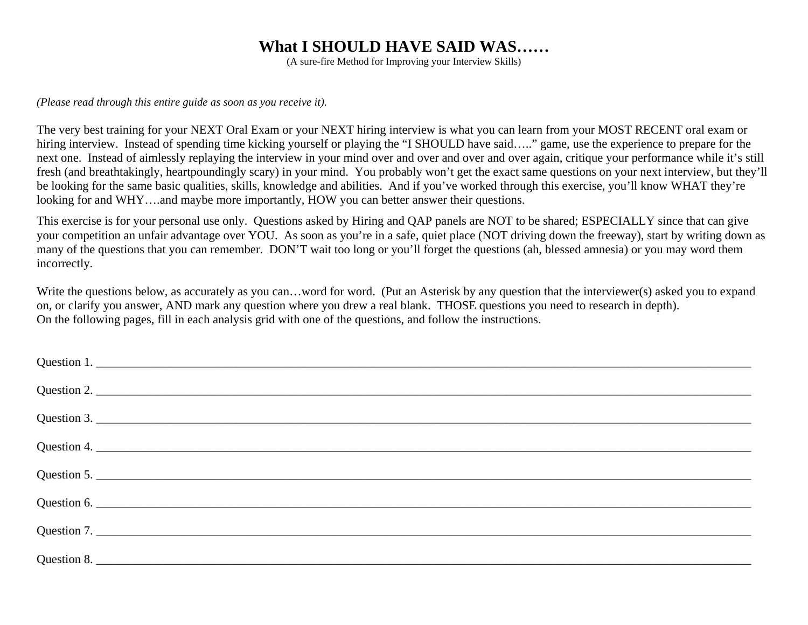### **What I SHOULD HAVE SAID WAS……**

(A sure-fire Method for Improving your Interview Skills)

*(Please read through this entire guide as soon as you receive it).* 

The very best training for your NEXT Oral Exam or your NEXT hiring interview is what you can learn from your MOST RECENT oral exam or hiring interview. Instead of spending time kicking yourself or playing the "I SHOULD have said….." game, use the experience to prepare for the next one. Instead of aimlessly replaying the interview in your mind over and over and over and over again, critique your performance while it's still fresh (and breathtakingly, heartpoundingly scary) in your mind. You probably won't get the exact same questions on your next interview, but they'll be looking for the same basic qualities, skills, knowledge and abilities. And if you've worked through this exercise, you'll know WHAT they're looking for and WHY....and maybe more importantly, HOW you can better answer their questions.

This exercise is for your personal use only. Questions asked by Hiring and QAP panels are NOT to be shared; ESPECIALLY since that can give your competition an unfair advantage over YOU. As soon as you're in a safe, quiet place (NOT driving down the freeway), start by writing down as many of the questions that you can remember. DON'T wait too long or you'll forget the questions (ah, blessed amnesia) or you may word them incorrectly.

Write the questions below, as accurately as you can...word for word. (Put an Asterisk by any question that the interviewer(s) asked you to expand on, or clarify you answer, AND mark any question where you drew a real blank. THOSE questions you need to research in depth). On the following pages, fill in each analysis grid with one of the questions, and follow the instructions.

| Question 1. |
|-------------|
| Question 2. |
| Question 3. |
|             |
| Question 5. |
| Question 6. |
| Question 7. |
| Question 8. |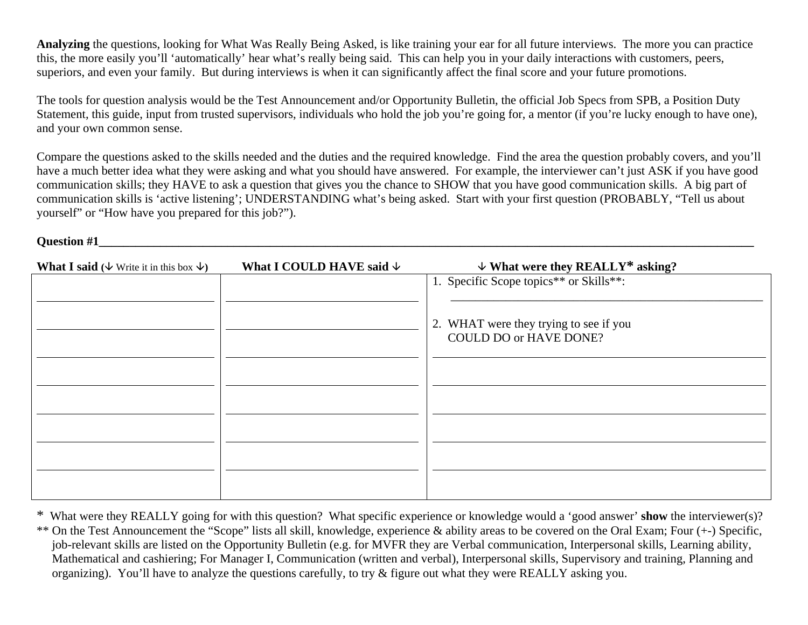**Analyzing** the questions, looking for What Was Really Being Asked, is like training your ear for all future interviews. The more you can practice this, the more easily you'll 'automatically' hear what's really being said. This can help you in your daily interactions with customers, peers, superiors, and even your family. But during interviews is when it can significantly affect the final score and your future promotions.

The tools for question analysis would be the Test Announcement and/or Opportunity Bulletin, the official Job Specs from SPB, a Position Duty Statement, this guide, input from trusted supervisors, individuals who hold the job you're going for, a mentor (if you're lucky enough to have one), and your own common sense.

Compare the questions asked to the skills needed and the duties and the required knowledge. Find the area the question probably covers, and you'll have a much better idea what they were asking and what you should have answered. For example, the interviewer can't just ASK if you have good communication skills; they HAVE to ask a question that gives you the chance to SHOW that you have good communication skills. A big part of communication skills is 'active listening'; UNDERSTANDING what's being asked. Start with your first question (PROBABLY, "Tell us about yourself" or "How have you prepared for this job?").

**Question #1** 

**What I said (** $\&$  **Write it in this box**  $\&$ **) What I COULD HAVE said**  $\&$  $\&$  **What were they REALLY<sup>\*</sup> asking?** 1. Specific Scope topics\*\* or Skills\*\*: \_\_\_\_\_\_\_\_\_\_\_\_\_\_\_\_\_\_\_\_\_\_\_\_\_\_\_\_\_\_\_\_\_\_\_\_\_\_\_\_\_\_\_\_\_\_\_\_\_\_\_ 2. WHAT were they trying to see if you COULD DO or HAVE DONE?

<sup>\*</sup> What were they REALLY going for with this question? What specific experience or knowledge would a 'good answer' **show** the interviewer(s)? \*\* On the Test Announcement the "Scope" lists all skill, knowledge, experience & ability areas to be covered on the Oral Exam; Four (+-) Specific, job-relevant skills are listed on the Opportunity Bulletin (e.g. for MVFR they are Verbal communication, Interpersonal skills, Learning ability, Mathematical and cashiering; For Manager I, Communication (written and verbal), Interpersonal skills, Supervisory and training, Planning and organizing). You'll have to analyze the questions carefully, to try & figure out what they were REALLY asking you.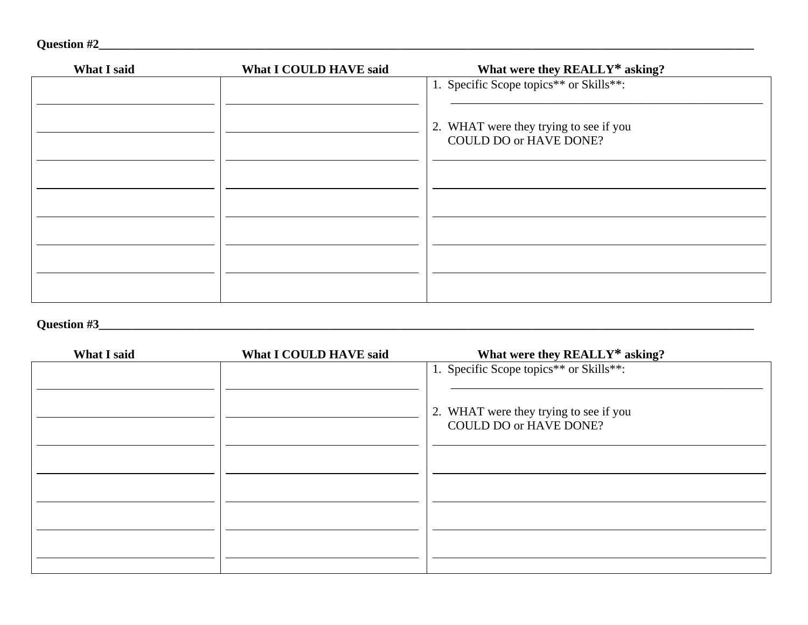| What I said | What I COULD HAVE said | What were they REALLY* asking?                                          |
|-------------|------------------------|-------------------------------------------------------------------------|
|             |                        | 1. Specific Scope topics** or Skills**:                                 |
|             |                        | 2. WHAT were they trying to see if you<br><b>COULD DO or HAVE DONE?</b> |
|             |                        |                                                                         |
|             |                        |                                                                         |
|             |                        |                                                                         |
|             |                        |                                                                         |
|             |                        |                                                                         |

## **Question #3\_\_\_\_\_\_\_\_\_\_\_\_\_\_\_\_\_\_\_\_\_\_\_\_\_\_\_\_\_\_\_\_\_\_\_\_\_\_\_\_\_\_\_\_\_\_\_\_\_\_\_\_\_\_\_\_\_\_\_\_\_\_\_\_\_\_\_\_\_\_\_\_\_\_\_\_\_\_\_\_\_\_\_\_\_\_\_\_\_\_\_\_\_\_\_\_\_\_\_\_\_\_\_\_\_\_\_**

| What I said | What I COULD HAVE said | What were they REALLY* asking?                                          |
|-------------|------------------------|-------------------------------------------------------------------------|
|             |                        | 1. Specific Scope topics** or Skills**:                                 |
|             |                        | 2. WHAT were they trying to see if you<br><b>COULD DO or HAVE DONE?</b> |
|             |                        |                                                                         |
|             |                        |                                                                         |
|             |                        |                                                                         |
|             |                        |                                                                         |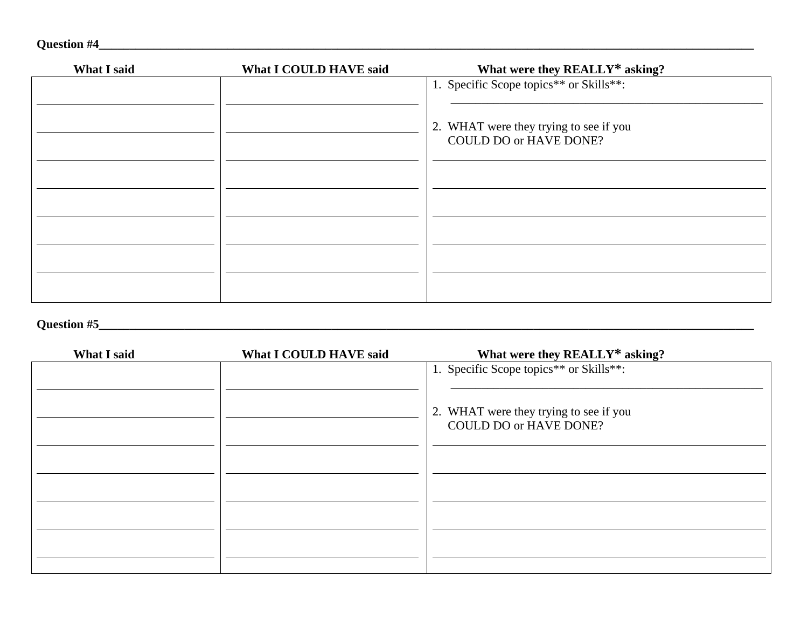| Question #4 |  |
|-------------|--|
|             |  |

| What I said | What I COULD HAVE said | What were they REALLY* asking?                                          |
|-------------|------------------------|-------------------------------------------------------------------------|
|             |                        | 1. Specific Scope topics** or Skills**:                                 |
|             |                        | 2. WHAT were they trying to see if you<br><b>COULD DO or HAVE DONE?</b> |
|             |                        |                                                                         |
|             |                        |                                                                         |
|             |                        |                                                                         |
|             |                        |                                                                         |
|             |                        |                                                                         |

#### **Question #5\_\_\_\_\_\_\_\_\_\_\_\_\_\_\_\_\_\_\_\_\_\_\_\_\_\_\_\_\_\_\_\_\_\_\_\_\_\_\_\_\_\_\_\_\_\_\_\_\_\_\_\_\_\_\_\_\_\_\_\_\_\_\_\_\_\_\_\_\_\_\_\_\_\_\_\_\_\_\_\_\_\_\_\_\_\_\_\_\_\_\_\_\_\_\_\_\_\_\_\_\_\_\_\_\_\_\_**

| What I said | What I COULD HAVE said | What were they REALLY* asking?                                          |
|-------------|------------------------|-------------------------------------------------------------------------|
|             |                        | 1. Specific Scope topics** or Skills**:                                 |
|             |                        | 2. WHAT were they trying to see if you<br><b>COULD DO or HAVE DONE?</b> |
|             |                        |                                                                         |
|             |                        |                                                                         |
|             |                        |                                                                         |
|             |                        |                                                                         |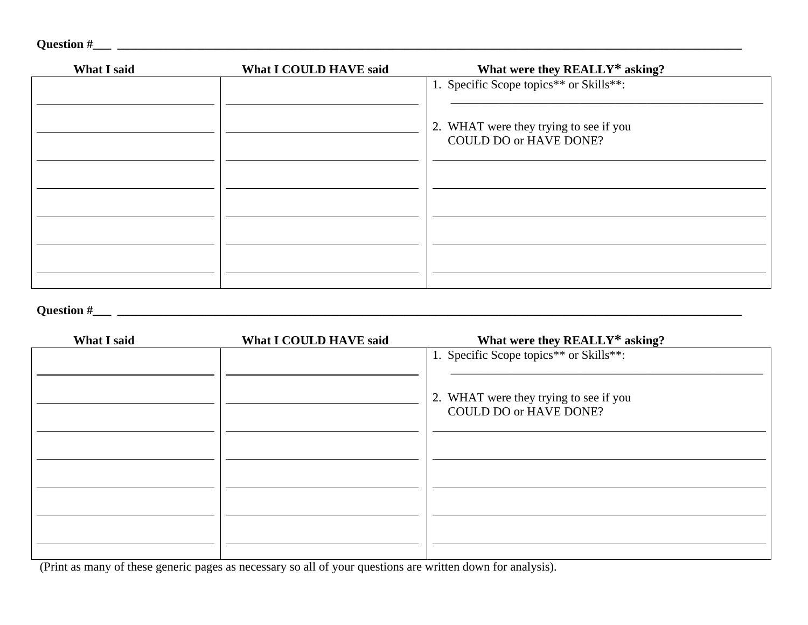| <b>Question #</b> |  |
|-------------------|--|
|                   |  |

# **Question #\_\_\_ \_\_\_\_\_\_\_\_\_\_\_\_\_\_\_\_\_\_\_\_\_\_\_\_\_\_\_\_\_\_\_\_\_\_\_\_\_\_\_\_\_\_\_\_\_\_\_\_\_\_\_\_\_\_\_\_\_\_\_\_\_\_\_\_\_\_\_\_\_\_\_\_\_\_\_\_\_\_\_\_\_\_\_\_\_\_\_\_\_\_\_\_\_\_\_\_\_\_\_\_\_\_**

| What I said | What I COULD HAVE said | What were they REALLY* asking?                                          |
|-------------|------------------------|-------------------------------------------------------------------------|
|             |                        | 1. Specific Scope topics** or Skills**:                                 |
|             |                        | 2. WHAT were they trying to see if you<br><b>COULD DO or HAVE DONE?</b> |
|             |                        |                                                                         |
|             |                        |                                                                         |
|             |                        |                                                                         |

(Print as many of these generic pages as necessary so all of your questions are written down for analysis).